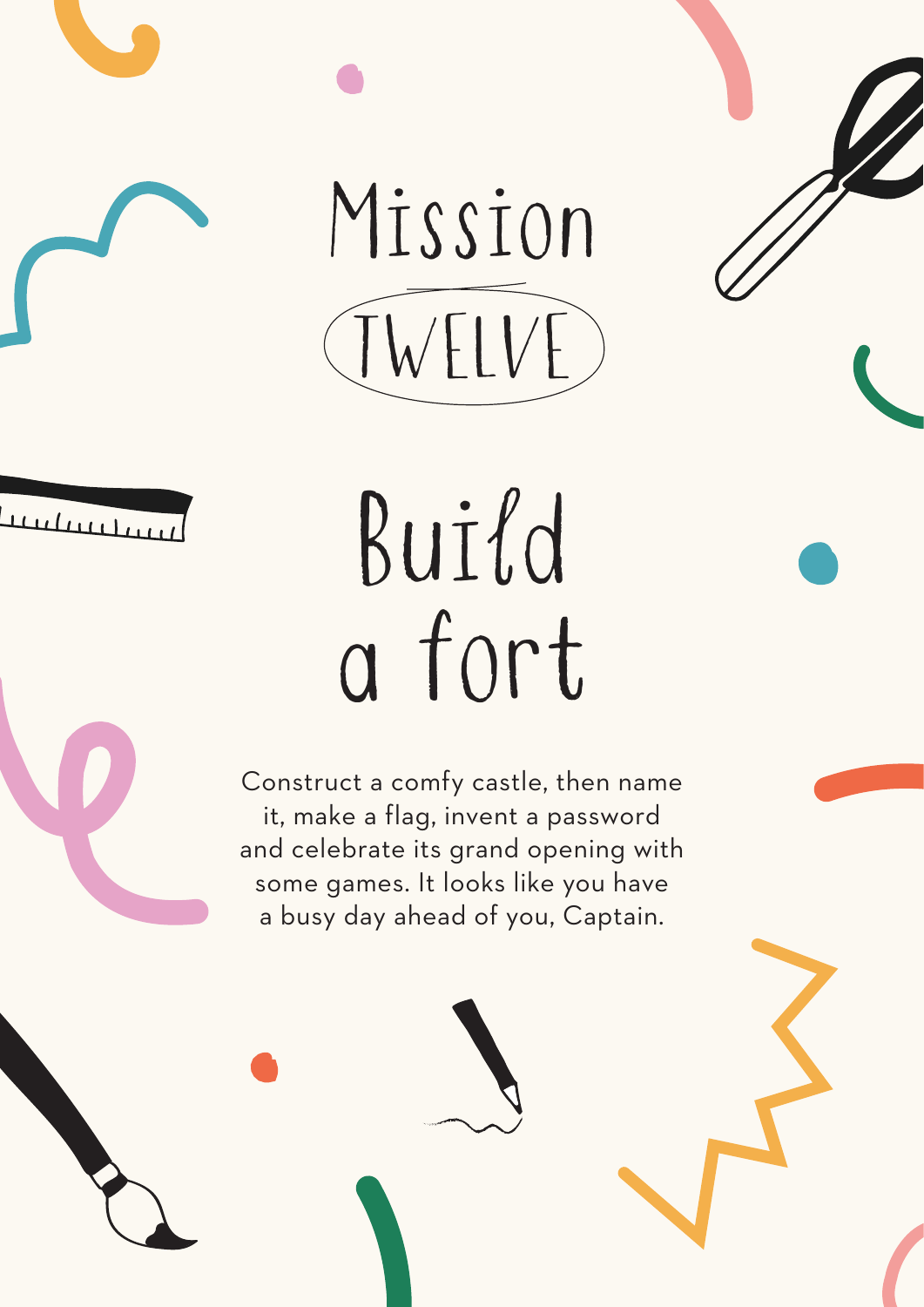Mission TWELVE



## Build a fort

Construct a comfy castle, then name it, make a flag, invent a password and celebrate its grand opening with some games. It looks like you have a busy day ahead of you, Captain.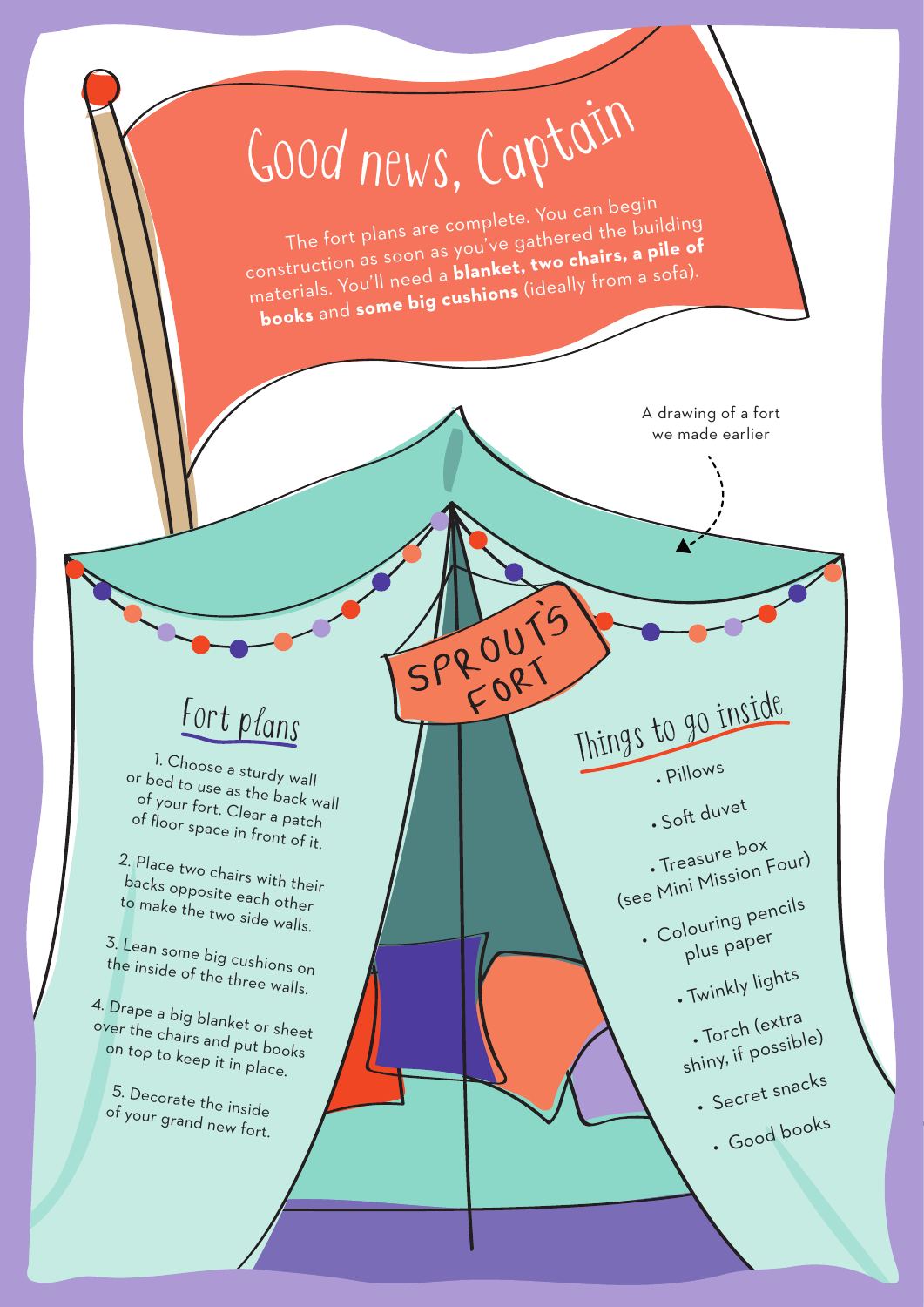## <sup>G</sup>oo<sup>d</sup> <sup>n</sup>ews, <sup>C</sup>aptai<sup>n</sup>

The fort plans are complete. You can begin construction as soon as you've gathered the building materials. You'll need a **blanket, two chairs, a pile of books** and **some big cushions** (ideally from a sofa).

FORT

A drawing of a fort we made earlier



1. Choose a sturdy wall or bed to use as the back wall of your fort. Clear a patch of floor space in front of it.

2. Place two chairs with their backs opposite each other to make the two side walls.

3. Lean some big cushions on the inside of the three walls.

4. Drape a big blanket or sheet over the chairs and put books on top to keep it in place.

5. Decorate the inside of your grand new fort. SPROUT Things to go inside • Pillows

· Soft duvet

• Treasure box (see Mini Mission Four) • Colouring pencils

plus pape<sup>r</sup> • Twinkly lights

• Torch (extra

shiny, if possible) • Secret snacks

• Good books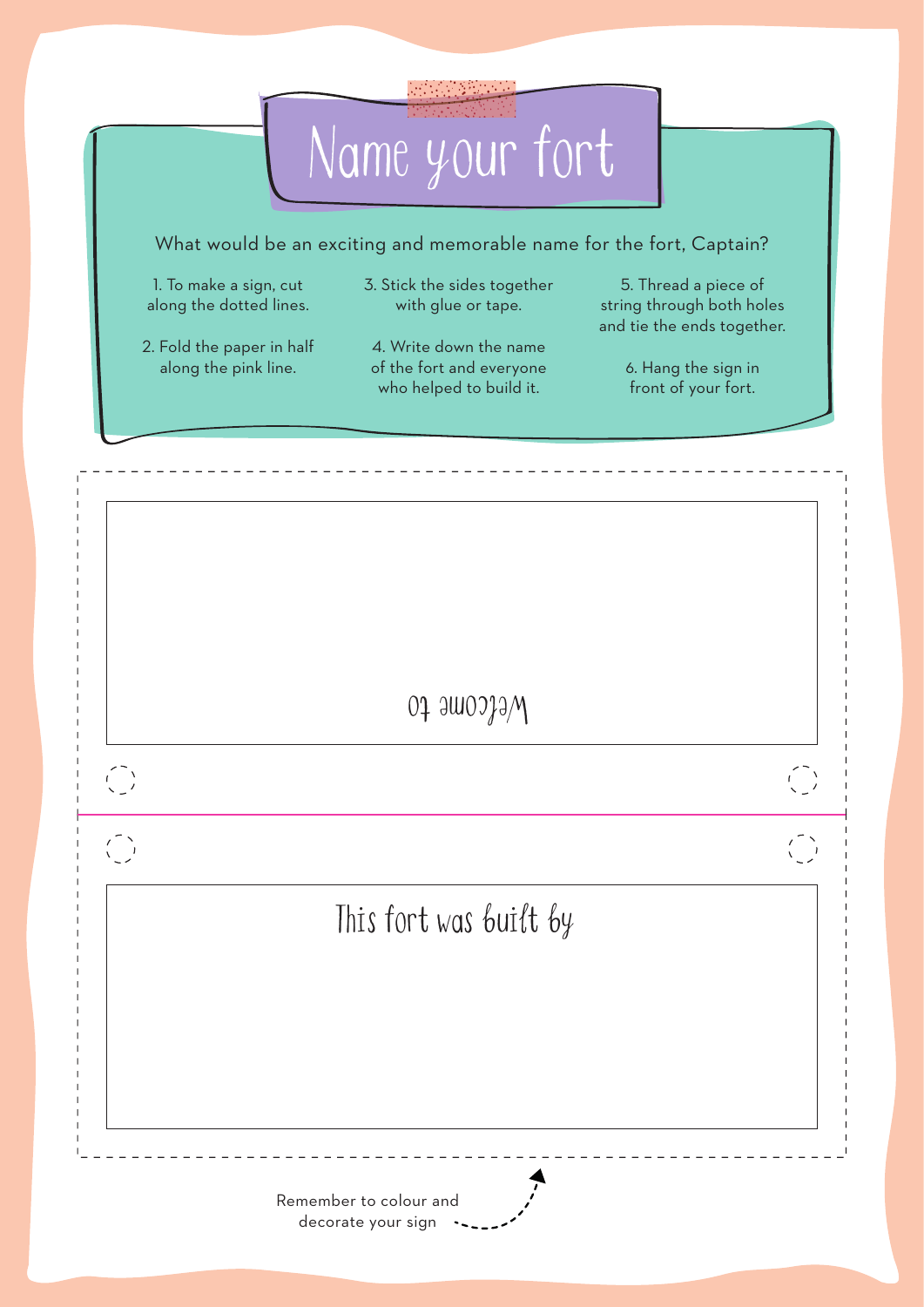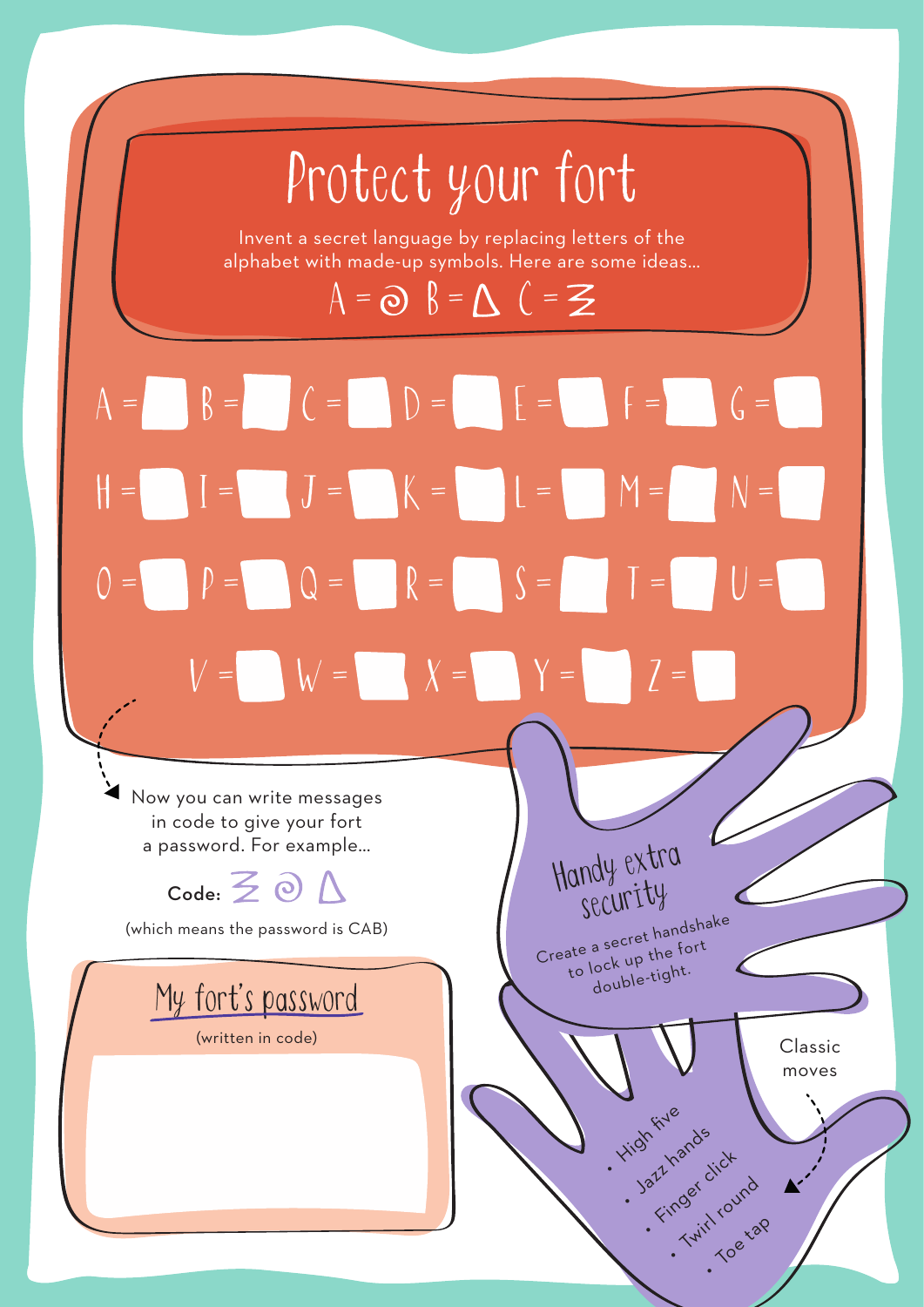## Protect your fort

Invent a secret language by replacing letters of the alphabet with made-up symbols. Here are some ideas…

 $A = \odot B = \triangle C = \mathbf{Z}$ 

 $A = \begin{bmatrix} B = \end{bmatrix}$   $C = \begin{bmatrix} D = \end{bmatrix}$   $E = \begin{bmatrix} F = \end{bmatrix}$   $G = \begin{bmatrix} G = \end{bmatrix}$  $J = K = L = M =$  $Q = \begin{bmatrix} R \\ R \end{bmatrix} = \begin{bmatrix} S \\ S \end{bmatrix}$  $W = X = Y =$  $\bigcup$  =  $\Vert$  =  $\bigcirc$  =

Handy extra

security

Create a secret handshake to lock up the fort double-tight.

. High five

. Jazz hands

azthan dick

roer Living . Toe tap

Classic moves

 $\mathbf{r}^{\prime}$ 

Now you can write messages in code to give your fort a password. For example…

 $\text{Code:} \leq \odot$ 

(which means the password is CAB)

My fort's password

(written in code)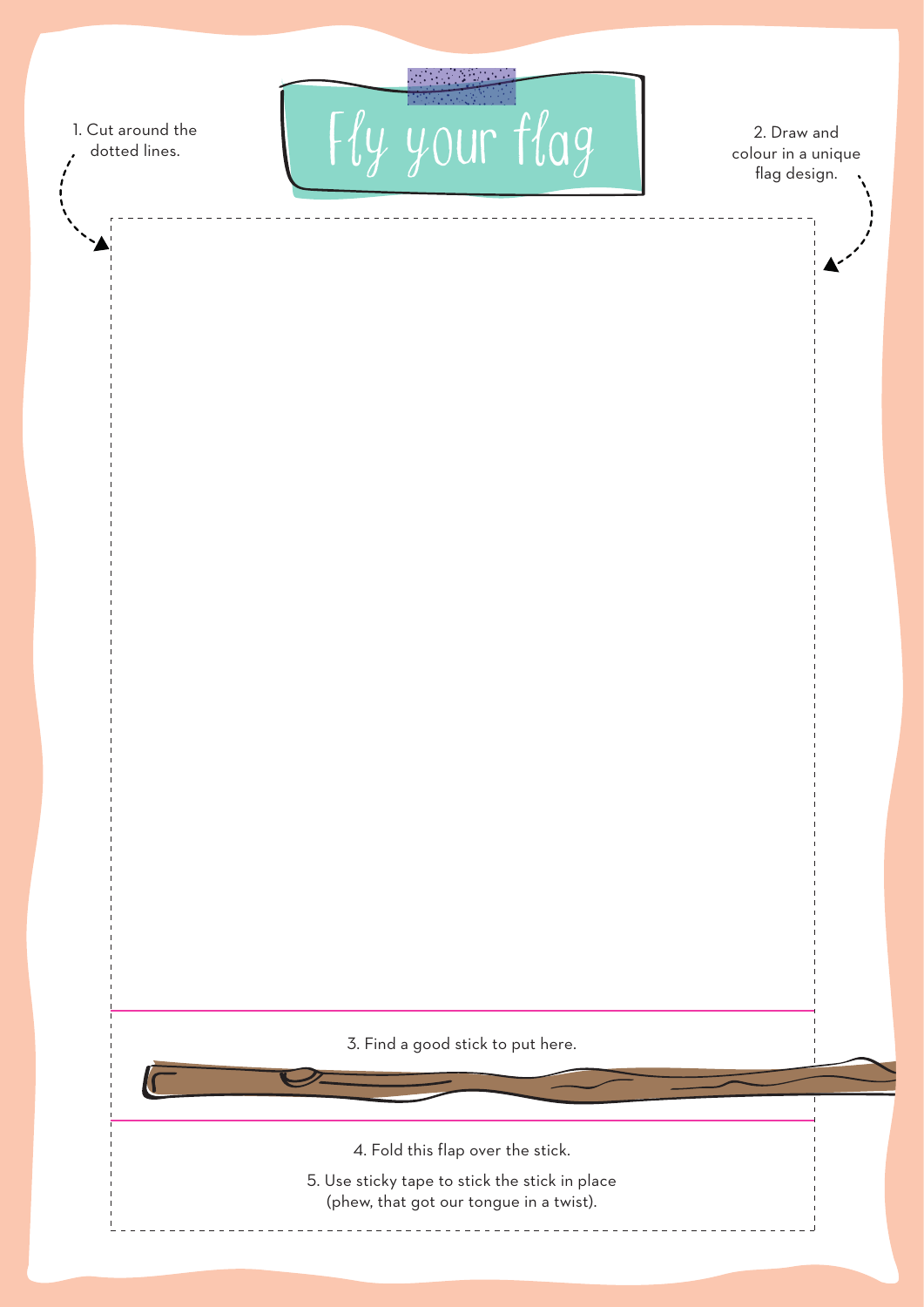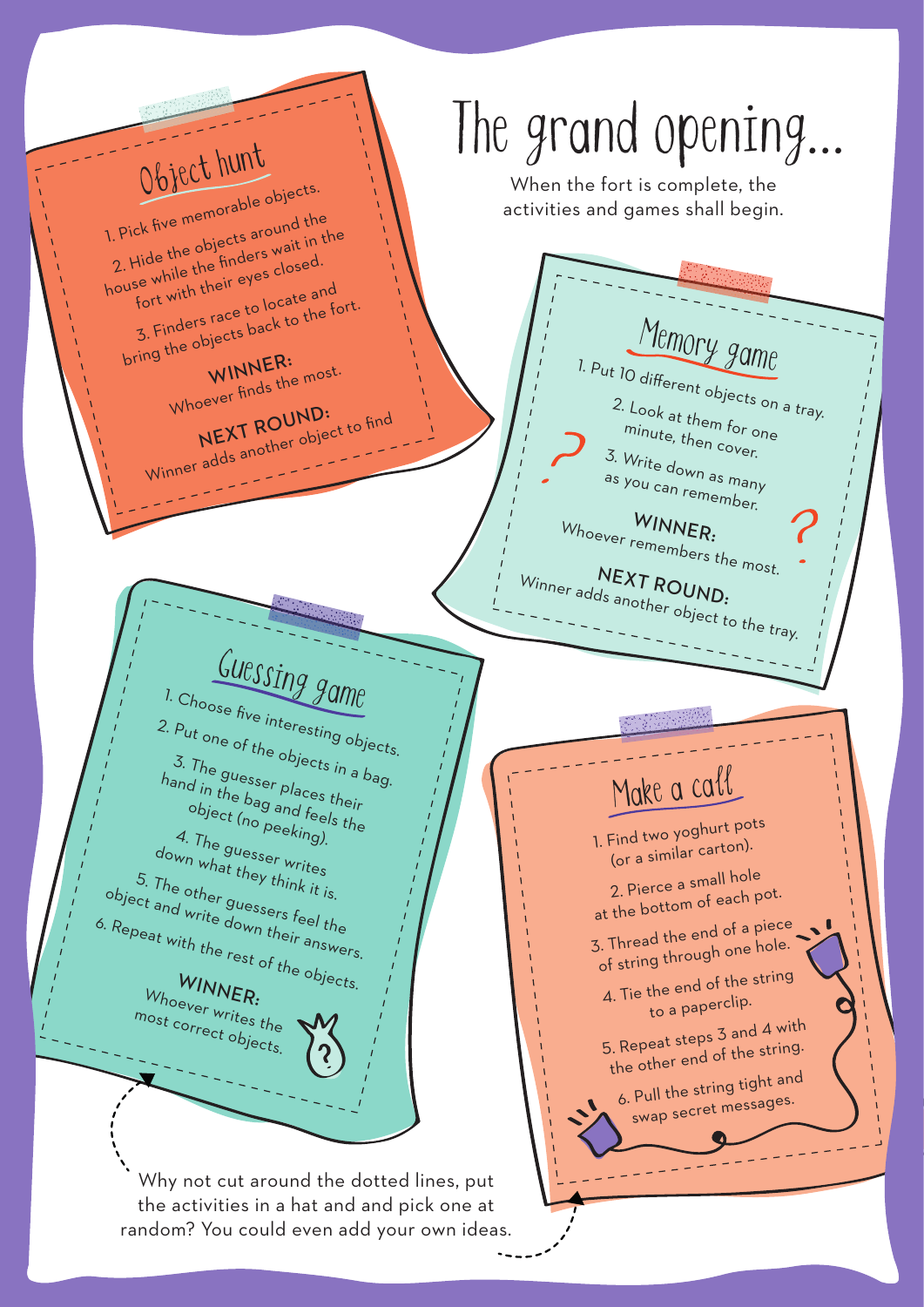Object hunt 1. Pick five memorable objects. 2. Hide the objects around the house while the finders wait in the fort with their eyes closed. 3. Finders race to locate and bring the objects back to the fort. WINNER: Whoever finds the most. NEXT ROUND: Winner adds another object to find  $M_{\text{emory game}}$  1. Put 10 different objects on a tray. 2. Look at them for one minute, then cover. 3. Write down as many as you can remember. Whoever remembers the most. WINNER: Winner adds another object to the tray. NEXT ROUND: Make a call 1. Find two yoghurt pots (or a similar carton). 2. Pierce a small hole at the bottom of each pot. 3. Thread the end of a piece of string through one hole. 4. Tie the end of the string to a paperclip. 5. Repeat steps 3 and 4 wit<sup>h</sup> the other end of the string. 6. Pull the string tight an<sup>d</sup> swap secret messages. I. Choose five interesting objects. 2. Put one of the objects in a bag. 3. The guesser places their hand in the bag and feels the object (no peeking). 4. The guesser writes down what they think it is. 5. The other guessers feel the object and write down their answers. 6. Repeat with the rest of the objects. WINNER: Whoever writes the most correct objects. When the fort is complete, the activities and games shall begin. Why not cut around the dotted lines, put the activities in a hat and and pick one at random? You could even add your own ideas. The grand opening…